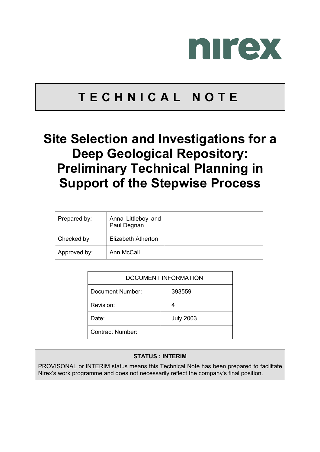

# **Site Selection and Investigations for a Deep Geological Repository: Preliminary Technical Planning in Support of the Stepwise Process**

| Prepared by: | Anna Littleboy and<br>Paul Degnan |  |
|--------------|-----------------------------------|--|
| Checked by:  | Elizabeth Atherton                |  |
| Approved by: | Ann McCall                        |  |

| DOCUMENT INFORMATION    |                  |  |
|-------------------------|------------------|--|
| Document Number:        | 393559           |  |
| Revision:               |                  |  |
| Date:                   | <b>July 2003</b> |  |
| <b>Contract Number:</b> |                  |  |

## **STATUS : INTERIM**

PROVISONAL or INTERIM status means this Technical Note has been prepared to facilitate Nirex's work programme and does not necessarily reflect the company's final position.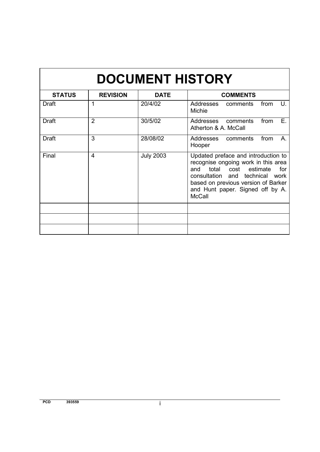| <b>DOCUMENT HISTORY</b> |                 |                  |                                                                                                                                                                                                                                             |  |
|-------------------------|-----------------|------------------|---------------------------------------------------------------------------------------------------------------------------------------------------------------------------------------------------------------------------------------------|--|
| <b>STATUS</b>           | <b>REVISION</b> | <b>DATE</b>      | <b>COMMENTS</b>                                                                                                                                                                                                                             |  |
| <b>Draft</b>            | 1               | 20/4/02          | U.<br>Addresses comments<br>from<br><b>Michie</b>                                                                                                                                                                                           |  |
| <b>Draft</b>            | $\overline{2}$  | 30/5/02          | E.<br>from<br>Addresses comments<br>Atherton & A. McCall                                                                                                                                                                                    |  |
| Draft                   | 3               | 28/08/02         | Addresses<br>from<br>comments<br>A.<br>Hooper                                                                                                                                                                                               |  |
| Final                   | $\overline{4}$  | <b>July 2003</b> | Updated preface and introduction to<br>recognise ongoing work in this area<br>and total cost estimate<br>for<br>consultation and technical work<br>based on previous version of Barker<br>and Hunt paper. Signed off by A.<br><b>McCall</b> |  |
|                         |                 |                  |                                                                                                                                                                                                                                             |  |
|                         |                 |                  |                                                                                                                                                                                                                                             |  |
|                         |                 |                  |                                                                                                                                                                                                                                             |  |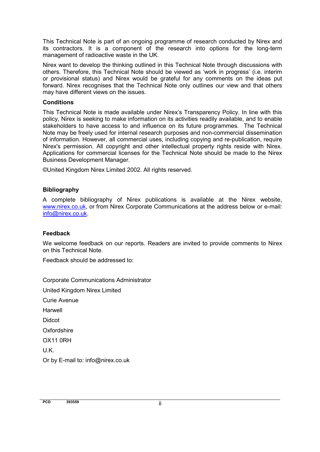This Technical Note is part of an ongoing programme of research conducted by Nirex and its contractors. It is a component of the research into options for the long-term management of radioactive waste in the UK.

Nirex want to develop the thinking outlined in this Technical Note through discussions with others. Therefore, this Technical Note should be viewed as 'work in progress' (i.e. interim or provisional status) and Nirex would be grateful for any comments on the ideas put forward. Nirex recognises that the Technical Note only outlines our view and that others may have different views on the issues.

#### **Conditions**

This Technical Note is made available under Nirex's Transparency Policy. In line with this policy, Nirex is seeking to make information on its activities readily available, and to enable stakeholders to have access to and influence on its future programmes. The Technical Note may be freely used for internal research purposes and non-commercial dissemination of information. However, all commercial uses, including copying and re-publication, require Nirex's permission. All copyright and other intellectual property rights reside with Nirex. Applications for commercial licenses for the Technical Note should be made to the Nirex Business Development Manager.

©United Kingdom Nirex Limited 2002. All rights reserved.

#### **Bibliography**

A complete bibliography of Nirex publications is available at the Nirex website, [www.nirex.co.uk,](http://www.nirex.co.uk/) or from Nirex Corporate Communications at the address below or e-mail: info@nirex.co.uk.

#### **Feedback**

We welcome feedback on our reports. Readers are invited to provide comments to Nirex on this Technical Note.

Feedback should be addressed to:

Corporate Communications Administrator United Kingdom Nirex Limited Curie Avenue

Harwell

**Didcot** 

Oxfordshire

OX11 0RH

U.K.

Or by E-mail to: info@nirex.co.uk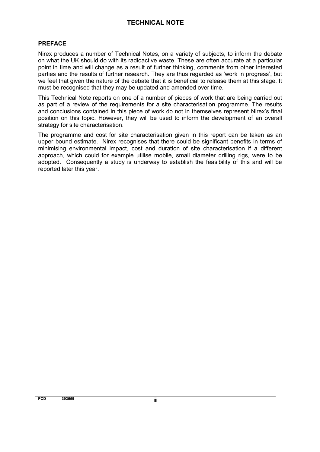#### **PREFACE**

Nirex produces a number of Technical Notes, on a variety of subjects, to inform the debate on what the UK should do with its radioactive waste. These are often accurate at a particular point in time and will change as a result of further thinking, comments from other interested parties and the results of further research. They are thus regarded as 'work in progress', but we feel that given the nature of the debate that it is beneficial to release them at this stage. It must be recognised that they may be updated and amended over time.

This Technical Note reports on one of a number of pieces of work that are being carried out as part of a review of the requirements for a site characterisation programme. The results and conclusions contained in this piece of work do not in themselves represent Nirex's final position on this topic. However, they will be used to inform the development of an overall strategy for site characterisation.

The programme and cost for site characterisation given in this report can be taken as an upper bound estimate. Nirex recognises that there could be significant benefits in terms of minimising environmental impact, cost and duration of site characterisation if a different approach, which could for example utilise mobile, small diameter drilling rigs, were to be adopted. Consequently a study is underway to establish the feasibility of this and will be reported later this year.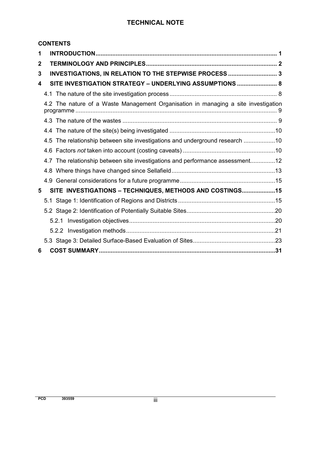## **CONTENTS**

| 1 |                                                                                    |  |
|---|------------------------------------------------------------------------------------|--|
| 2 |                                                                                    |  |
| 3 | INVESTIGATIONS, IN RELATION TO THE STEPWISE PROCESS  3                             |  |
| 4 | SITE INVESTIGATION STRATEGY - UNDERLYING ASSUMPTIONS  8                            |  |
|   |                                                                                    |  |
|   | 4.2 The nature of a Waste Management Organisation in managing a site investigation |  |
|   |                                                                                    |  |
|   |                                                                                    |  |
|   | 4.5 The relationship between site investigations and underground research 10       |  |
|   |                                                                                    |  |
|   | 4.7 The relationship between site investigations and performance assessment12      |  |
|   |                                                                                    |  |
|   |                                                                                    |  |
| 5 | SITE INVESTIGATIONS - TECHNIQUES, METHODS AND COSTINGS15                           |  |
|   |                                                                                    |  |
|   |                                                                                    |  |
|   |                                                                                    |  |
|   |                                                                                    |  |
|   |                                                                                    |  |
| 6 |                                                                                    |  |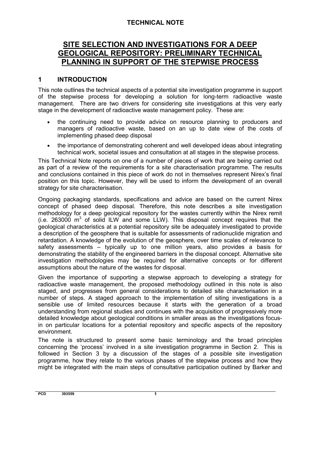## <span id="page-6-0"></span>**SITE SELECTION AND INVESTIGATIONS FOR A DEEP GEOLOGICAL REPOSITORY: PRELIMINARY TECHNICAL PLANNING IN SUPPORT OF THE STEPWISE PROCESS**

#### **1 INTRODUCTION**

This note outlines the technical aspects of a potential site investigation programme in support of the stepwise process for developing a solution for long-term radioactive waste management. There are two drivers for considering site investigations at this very early stage in the development of radioactive waste management policy. These are:

- the continuing need to provide advice on resource planning to producers and managers of radioactive waste, based on an up to date view of the costs of implementing phased deep disposal
- the importance of demonstrating coherent and well developed ideas about integrating technical work, societal issues and consultation at all stages in the stepwise process.

This Technical Note reports on one of a number of pieces of work that are being carried out as part of a review of the requirements for a site characterisation programme. The results and conclusions contained in this piece of work do not in themselves represent Nirex's final position on this topic. However, they will be used to inform the development of an overall strategy for site characterisation.

Ongoing packaging standards, specifications and advice are based on the current Nirex concept of phased deep disposal. Therefore, this note describes a site investigation methodology for a deep geological repository for the wastes currently within the Nirex remit (i.e.  $263000 \, \text{m}^3$  of solid ILW and some LLW). This disposal concept requires that the geological characteristics at a potential repository site be adequately investigated to provide a description of the geosphere that is suitable for assessments of radionuclide migration and retardation. A knowledge of the evolution of the geosphere, over time scales of relevance to safety assessments – typically up to one million years, also provides a basis for demonstrating the stability of the engineered barriers in the disposal concept. Alternative site investigation methodologies may be required for alternative concepts or for different assumptions about the nature of the wastes for disposal.

Given the importance of supporting a stepwise approach to developing a strategy for radioactive waste management, the proposed methodology outlined in this note is also staged, and progresses from general considerations to detailed site characterisation in a number of steps. A staged approach to the implementation of siting investigations is a sensible use of limited resources because it starts with the generation of a broad understanding from regional studies and continues with the acquisition of progressively more detailed knowledge about geological conditions in smaller areas as the investigations focusin on particular locations for a potential repository and specific aspects of the repository environment.

The note is structured to present some basic terminology and the broad principles concerning the 'process' involved in a site investigation programme in Section 2. This is followed in Section 3 by a discussion of the stages of a possible site investigation programme, how they relate to the various phases of the stepwise process and how they might be integrated with the main steps of consultative participation outlined by Barker and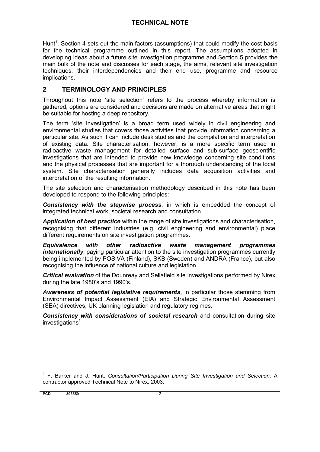<span id="page-7-0"></span>Hunt<sup>1</sup>. Section 4 sets out the main factors (assumptions) that could modify the cost basis for the technical programme outlined in this report. The assumptions adopted in developing ideas about a future site investigation programme and Section 5 provides the main bulk of the note and discusses for each stage, the aims, relevant site investigation techniques, their interdependencies and their end use, programme and resource implications.

#### **2 TERMINOLOGY AND PRINCIPLES**

Throughout this note 'site selection' refers to the process whereby information is gathered, options are considered and decisions are made on alternative areas that might be suitable for hosting a deep repository.

The term 'site investigation' is a broad term used widely in civil engineering and environmental studies that covers those activities that provide information concerning a particular site. As such it can include desk studies and the compilation and interpretation of existing data. Site characterisation, however, is a more specific term used in radioactive waste management for detailed surface and sub-surface geoscientific investigations that are intended to provide new knowledge concerning site conditions and the physical processes that are important for a thorough understanding of the local system. Site characterisation generally includes data acquisition activities and interpretation of the resulting information.

The site selection and characterisation methodology described in this note has been developed to respond to the following principles:

*Consistency with the stepwise process*, in which is embedded the concept of integrated technical work, societal research and consultation.

*Application of best practice* within the range of site investigations and characterisation, recognising that different industries (e.g. civil engineering and environmental) place different requirements on site investigation programmes.

*Equivalence with other radioactive waste management programmes internationally*, paying particular attention to the site investigation programmes currently being implemented by POSIVA (Finland), SKB (Sweden) and ANDRA (France), but also recognising the influence of national culture and legislation.

*Critical evaluation* of the Dounreay and Sellafield site investigations performed by Nirex during the late 1980's and 1990's.

*Awareness of potential legislative requirements*, in particular those stemming from Environmental Impact Assessment (EIA) and Strategic Environmental Assessment (SEA) directives, UK planning legislation and regulatory regimes.

*Consistency with considerations of societal research* and consultation during site  $investigations<sup>1</sup>$ 

 $\overline{a}$ 

<sup>1</sup> F. Barker and J. Hunt, *Consultation/Participation During Site Investigation and Selection*. A contractor approved Technical Note to Nirex, 2003.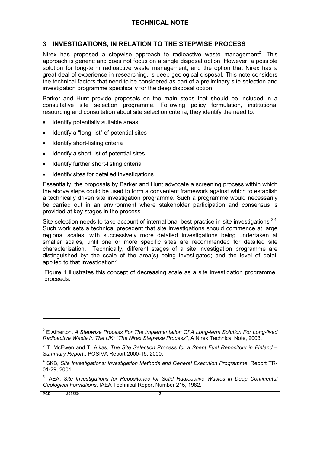## <span id="page-8-0"></span>**3 INVESTIGATIONS, IN RELATION TO THE STEPWISE PROCESS**

Nirex has proposed a stepwise approach to radioactive waste management<sup>2</sup>. This approach is generic and does not focus on a single disposal option. However, a possible solution for long-term radioactive waste management, and the option that Nirex has a great deal of experience in researching, is deep geological disposal. This note considers the technical factors that need to be considered as part of a preliminary site selection and investigation programme specifically for the deep disposal option.

Barker and Hunt provide proposals on the main steps that should be included in a consultative site selection programme. Following policy formulation, institutional resourcing and consultation about site selection criteria, they identify the need to:

- Identify potentially suitable areas
- Identify a "long-list" of potential sites
- Identify short-listing criteria
- Identify a short-list of potential sites
- Identify further short-listing criteria
- Identify sites for detailed investigations.

Essentially, the proposals by Barker and Hunt advocate a screening process within which the above steps could be used to form a convenient framework against which to establish a technically driven site investigation programme. Such a programme would necessarily be carried out in an environment where stakeholder participation and consensus is provided at key stages in the process.

Site selection needs to take account of international best practice in site investigations 3.4. Such work sets a technical precedent that site investigations should commence at large regional scales, with successively more detailed investigations being undertaken at smaller scales, until one or more specific sites are recommended for detailed site characterisation. Technically, different stages of a site investigation programme are distinguished by: the scale of the area(s) being investigated; and the level of detail applied to that investigation<sup>5</sup>.

Figure 1 illustrates this concept of decreasing scale as a site investigation programme proceeds.

<sup>2</sup> E Atherton, *A Stepwise Process For The Implementation Of A Long-term Solution For Long-lived Radioactive Waste In The UK: "The Nirex Stepwise Process"*, A Nirex Technical Note, 2003.

<sup>3</sup> T. McEwen and T. Aikas, *The Site Selection Process for a Spent Fuel Repository in Finland – Summary Report*., POSIVA Report 2000-15, 2000.

<sup>4</sup> SKB, *Site Investigations: Investigation Methods and General Execution Programme*, Report TR-01-29, 2001.

<sup>5</sup> IAEA, *Site Investigations for Repositories for Solid Radioactive Wastes in Deep Continental Geological Formations*, IAEA Technical Report Number 215, 1982.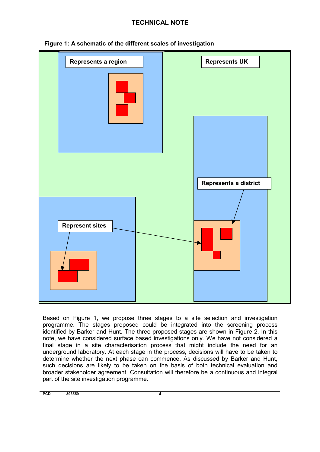

#### **Figure 1: A schematic of the different scales of investigation**

Based on Figure 1, we propose three stages to a site selection and investigation programme. The stages proposed could be integrated into the screening process identified by Barker and Hunt. The three proposed stages are shown in Figure 2. In this note, we have considered surface based investigations only. We have not considered a final stage in a site characterisation process that might include the need for an underground laboratory. At each stage in the process, decisions will have to be taken to determine whether the next phase can commence. As discussed by Barker and Hunt, such decisions are likely to be taken on the basis of both technical evaluation and broader stakeholder agreement. Consultation will therefore be a continuous and integral part of the site investigation programme.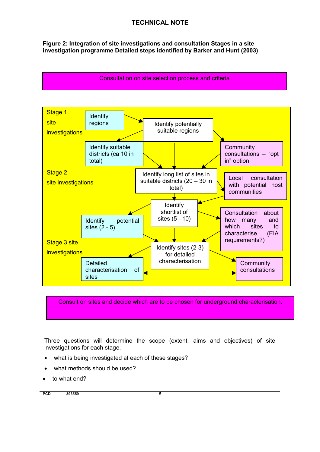#### **Figure 2: Integration of site investigations and consultation Stages in a site investigation programme Detailed steps identified by Barker and Hunt (2003)**

#### Consultation on site selection process and criteria



Consult on sites and decide which are to be chosen for underground characterisation.

Three questions will determine the scope (extent, aims and objectives) of site investigations for each stage.

- what is being investigated at each of these stages?
- what methods should be used?
- to what end?

**PCD 393559 5**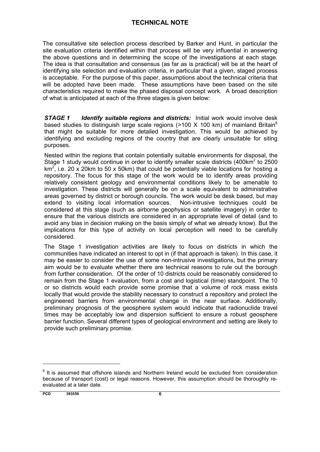The consultative site selection process described by Barker and Hunt, in particular the site evaluation criteria identified within that process will be very influential in answering the above questions and in determining the scope of the investigations at each stage. The idea is that consultation and consensus (as far as is practical) will be at the heart of identifying site selection and evaluation criteria, in particular that a given, staged process is acceptable. For the purpose of this paper, assumptions about the technical criteria that will be adopted have been made. These assumptions have been based on the site characteristics required to make the phased disposal concept work. A broad description of what is anticipated at each of the three stages is given below:

**STAGE 1** Identify suitable regions and districts: Initial work would involve desk based studies to distinguish large scale regions ( $>100$  X 100 km) of mainland Britain<sup>6</sup> that might be suitable for more detailed investigation. This would be achieved by identifying and excluding regions of the country that are clearly unsuitable for siting purposes.

Nested within the regions that contain potentially suitable environments for disposal, the Stage 1 study would continue in order to identify smaller scale districts (400km<sup>2</sup> to 2500 km<sup>2</sup>, i.e. 20 x 20km to 50 x 50km) that could be potentially viable locations for hosting a repository. The focus for this stage of the work would be to identify areas providing relatively consistent geology and environmental conditions likely to be amenable to investigation. These districts will generally be on a scale equivalent to administrative areas governed by district or borough councils. The work would be desk based, but may extend to visiting local information sources. Non-intrusive techniques could be considered at this stage (such as airborne geophysics or satellite imagery) in order to ensure that the various districts are considered in an appropriate level of detail (and to avoid any bias in decision making on the basis simply of what we already know). But the implications for this type of activity on local perception will need to be carefully considered.

The Stage 1 investigation activities are likely to focus on districts in which the communities have indicated an interest to opt in (if that approach is taken). In this case, it may be easier to consider the use of some non-intrusive investigations, but the primary aim would be to evaluate whether there are technical reasons to rule out the borough from further consideration. Of the order of 10 districts could be reasonably considered to remain from the Stage 1 evaluation, from a cost and logistical (time) standpoint. The 10 or so districts would each provide some promise that a volume of rock mass exists locally that would provide the stability necessary to construct a repository and protect the engineered barriers from environmental change in the near surface. Additionally, preliminary prognosis of the geosphere system would indicate that radionuclide travel times may be acceptably low and dispersion sufficient to ensure a robust geosphere barrier function. Several different types of geological environment and setting are likely to provide such preliminary promise.

 $<sup>6</sup>$  It is assumed that offshore islands and Northern Ireland would be excluded from consideration</sup> because of transport (cost) or legal reasons. However, this assumption should be thoroughly reevaluated at a later date.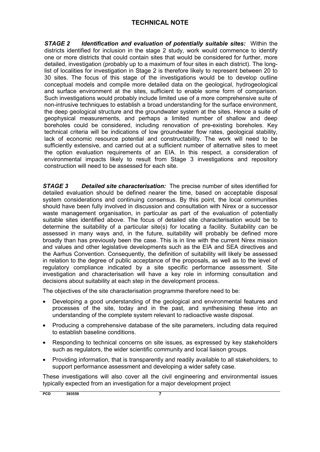*STAGE 2 Identification and evaluation of potentially suitable sites:* Within the districts identified for inclusion in the stage 2 study, work would commence to identify one or more districts that could contain sites that would be considered for further, more detailed, investigation (probably up to a maximum of four sites in each district). The longlist of localities for investigation in Stage 2 is therefore likely to represent between 20 to 30 sites. The focus of this stage of the investigations would be to develop outline conceptual models and compile more detailed data on the geological, hydrogeological and surface environment at the sites, sufficient to enable some form of comparison. Such investigations would probably include limited use of a more comprehensive suite of non-intrusive techniques to establish a broad understanding for the surface environment, the deep geological structure and the groundwater system at the sites. Hence a suite of geophysical measurements, and perhaps a limited number of shallow and deep boreholes could be considered, including renovation of pre-existing boreholes. Key technical criteria will be indications of low groundwater flow rates, geological stability, lack of economic resource potential and constructability. The work will need to be sufficiently extensive, and carried out at a sufficient number of alternative sites to meet the option evaluation requirements of an EIA. In this respect, a consideration of environmental impacts likely to result from Stage 3 investigations and repository construction will need to be assessed for each site.

*STAGE 3 Detailed site characterisation:* The precise number of sites identified for detailed evaluation should be defined nearer the time, based on acceptable disposal system considerations and continuing consensus. By this point, the local communities should have been fully involved in discussion and consultation with Nirex or a successor waste management organisation, in particular as part of the evaluation of potentially suitable sites identified above. The focus of detailed site characterisation would be to determine the suitability of a particular site(s) for locating a facility. Suitability can be assessed in many ways and, in the future, suitability will probably be defined more broadly than has previously been the case. This is in line with the current Nirex mission and values and other legislative developments such as the EIA and SEA directives and the Aarhus Convention. Consequently, the definition of suitability will likely be assessed in relation to the degree of public acceptance of the proposals, as well as to the level of regulatory compliance indicated by a site specific performance assessment. Site investigation and characterisation will have a key role in informing consultation and decisions about suitability at each step in the development process.

The objectives of the site characterisation programme therefore need to be:

- Developing a good understanding of the geological and environmental features and processes of the site, today and in the past, and synthesising these into an understanding of the complete system relevant to radioactive waste disposal.
- Producing a comprehensive database of the site parameters, including data required to establish baseline conditions.
- Responding to technical concerns on site issues, as expressed by key stakeholders such as regulators, the wider scientific community and local liaison groups.
- Providing information, that is transparently and readily available to all stakeholders, to support performance assessment and developing a wider safety case.

These investigations will also cover all the civil engineering and environmental issues typically expected from an investigation for a major development project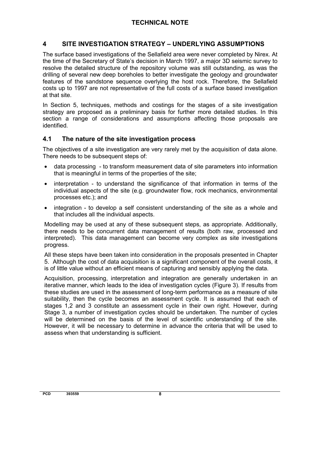#### <span id="page-13-0"></span>**4 SITE INVESTIGATION STRATEGY – UNDERLYING ASSUMPTIONS**

The surface based investigations of the Sellafield area were never completed by Nirex. At the time of the Secretary of State's decision in March 1997, a major 3D seismic survey to resolve the detailed structure of the repository volume was still outstanding, as was the drilling of several new deep boreholes to better investigate the geology and groundwater features of the sandstone sequence overlying the host rock. Therefore, the Sellafield costs up to 1997 are not representative of the full costs of a surface based investigation at that site.

In Section 5, techniques, methods and costings for the stages of a site investigation strategy are proposed as a preliminary basis for further more detailed studies. In this section a range of considerations and assumptions affecting those proposals are identified.

#### **4.1 The nature of the site investigation process**

The objectives of a site investigation are very rarely met by the acquisition of data alone. There needs to be subsequent steps of:

- data processing to transform measurement data of site parameters into information that is meaningful in terms of the properties of the site;
- interpretation to understand the significance of that information in terms of the individual aspects of the site (e.g. groundwater flow, rock mechanics, environmental processes etc.); and
- integration to develop a self consistent understanding of the site as a whole and that includes all the individual aspects.

Modelling may be used at any of these subsequent steps, as appropriate. Additionally, there needs to be concurrent data management of results (both raw, processed and interpreted). This data management can become very complex as site investigations progress.

All these steps have been taken into consideration in the proposals presented in Chapter 5. Although the cost of data acquisition is a significant component of the overall costs, it is of little value without an efficient means of capturing and sensibly applying the data.

Acquisition, processing, interpretation and integration are generally undertaken in an iterative manner, which leads to the idea of investigation cycles (Figure 3). If results from these studies are used in the assessment of long-term performance as a measure of site suitability, then the cycle becomes an assessment cycle. It is assumed that each of stages 1,2 and 3 constitute an assessment cycle in their own right. However, during Stage 3, a number of investigation cycles should be undertaken. The number of cycles will be determined on the basis of the level of scientific understanding of the site. However, it will be necessary to determine in advance the criteria that will be used to assess when that understanding is sufficient.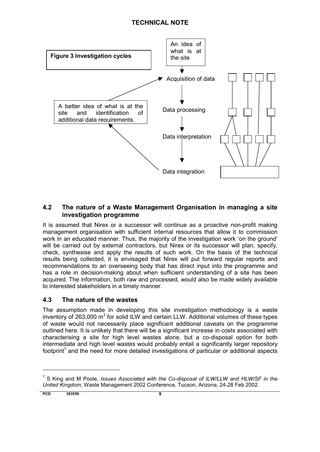<span id="page-14-0"></span>

#### **4.2 The nature of a Waste Management Organisation in managing a site investigation programme**

It is assumed that Nirex or a successor will continue as a proactive non-profit making management organisation with sufficient internal resources that allow it to commission work in an educated manner. Thus, the majority of the investigation work 'on the ground' will be carried out by external contractors, but Nirex or its successor will plan, specify, check, synthesise and apply the results of such work. On the basis of the technical results being collected, it is envisaged that Nirex will put forward regular reports and recommendations to an overseeing body that has direct input into the programme and has a role in decision-making about when sufficient understanding of a site has been acquired. The information, both raw and processed, would also be made widely available to interested stakeholders in a timely manner.

## **4.3 The nature of the wastes**

The assumption made in developing this site investigation methodology is a waste inventory of 263,000  $m^3$  for solid ILW and certain LLW. Additional volumes of these types of waste would not necessarily place significant additional caveats on the programme outlined here. It is unlikely that there will be a significant increase in costs associated with characterising a site for high level wastes alone, but a co-disposal option for both intermediate and high level wastes would probably entail a significantly larger repository footprint<sup>7</sup> and the need for more detailed investigations of particular or additional aspects

 $\overline{a}$ 

<sup>7</sup> S King and M Poole, *Issues Associated with the Co-disposal of ILW/LLW and HLW/SF in the United Kingdom,* Waste Management 2002 Conference, Tucson, Arizona, 24-28 Feb 2002.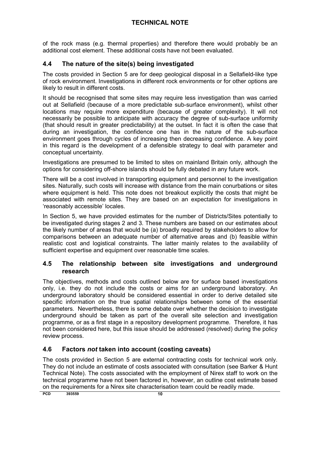<span id="page-15-0"></span>of the rock mass (e.g. thermal properties) and therefore there would probably be an additional cost element. These additional costs have not been evaluated.

## **4.4 The nature of the site(s) being investigated**

The costs provided in Section 5 are for deep geological disposal in a Sellafield-like type of rock environment. Investigations in different rock environments or for other options are likely to result in different costs.

It should be recognised that some sites may require less investigation than was carried out at Sellafield (because of a more predictable sub-surface environment), whilst other locations may require more expenditure (because of greater complexity). It will not necessarily be possible to anticipate with accuracy the degree of sub-surface uniformity (that should result in greater predictability) at the outset. In fact it is often the case that during an investigation, the confidence one has in the nature of the sub-surface environment goes through cycles of increasing then decreasing confidence. A key point in this regard is the development of a defensible strategy to deal with parameter and conceptual uncertainty.

Investigations are presumed to be limited to sites on mainland Britain only, although the options for considering off-shore islands should be fully debated in any future work.

There will be a cost involved in transporting equipment and personnel to the investigation sites. Naturally, such costs will increase with distance from the main conurbations or sites where equipment is held. This note does not breakout explicitly the costs that might be associated with remote sites. They are based on an expectation for investigations in 'reasonably accessible' locales.

In Section 5, we have provided estimates for the number of Districts/Sites potentially to be investigated during stages 2 and 3. These numbers are based on our estimates about the likely number of areas that would be (a) broadly required by stakeholders to allow for comparisons between an adequate number of alternative areas and (b) feasible within realistic cost and logistical constraints. The latter mainly relates to the availability of sufficient expertise and equipment over reasonable time scales.

#### **4.5 The relationship between site investigations and underground research**

The objectives, methods and costs outlined below are for surface based investigations only, i.e. they do not include the costs or aims for an underground laboratory. An underground laboratory should be considered essential in order to derive detailed site specific information on the true spatial relationships between some of the essential parameters. Nevertheless, there is some debate over whether the decision to investigate underground should be taken as part of the overall site selection and investigation programme, or as a first stage in a repository development programme. Therefore, it has not been considered here, but this issue should be addressed (resolved) during the policy review process.

#### **4.6 Factors** *not* **taken into account (costing caveats)**

The costs provided in Section 5 are external contracting costs for technical work only. They do not include an estimate of costs associated with consultation (see Barker & Hunt Technical Note). The costs associated with the employment of Nirex staff to work on the technical programme have not been factored in, however, an outline cost estimate based on the requirements for a Nirex site characterisation team could be readily made.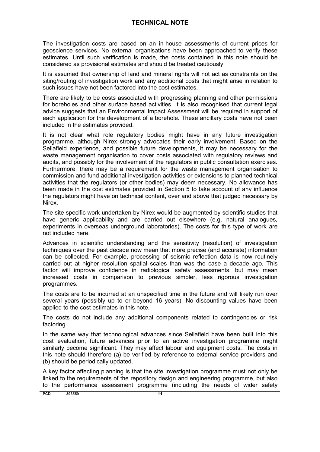The investigation costs are based on an in-house assessments of current prices for geoscience services. No external organisations have been approached to verify these estimates. Until such verification is made, the costs contained in this note should be considered as provisional estimates and should be treated cautiously.

It is assumed that ownership of land and mineral rights will not act as constraints on the siting/routing of investigation work and any additional costs that might arise in relation to such issues have not been factored into the cost estimates.

There are likely to be costs associated with progressing planning and other permissions for boreholes and other surface based activities. It is also recognised that current legal advice suggests that an Environmental Impact Assessment will be required in support of each application for the development of a borehole. These ancillary costs have not been included in the estimates provided.

It is not clear what role regulatory bodies might have in any future investigation programme, although Nirex strongly advocates their early involvement. Based on the Sellafield experience, and possible future developments, it may be necessary for the waste management organisation to cover costs associated with regulatory reviews and audits, and possibly for the involvement of the regulators in public consultation exercises. Furthermore, there may be a requirement for the waste management organisation to commission and fund additional investigation activities or extensions to planned technical activities that the regulators (or other bodies) may deem necessary. No allowance has been made in the cost estimates provided in Section 5 to take account of any influence the regulators might have on technical content, over and above that judged necessary by Nirex.

The site specific work undertaken by Nirex would be augmented by scientific studies that have generic applicability and are carried out elsewhere (e.g. natural analogues, experiments in overseas underground laboratories). The costs for this type of work are not included here.

Advances in scientific understanding and the sensitivity (resolution) of investigation techniques over the past decade now mean that more precise (and accurate) information can be collected. For example, processing of seismic reflection data is now routinely carried out at higher resolution spatial scales than was the case a decade ago. This factor will improve confidence in radiological safety assessments, but may mean increased costs in comparison to previous simpler, less rigorous investigation programmes.

The costs are to be incurred at an unspecified time in the future and will likely run over several years (possibly up to or beyond 16 years). No discounting values have been applied to the cost estimates in this note.

The costs do not include any additional components related to contingencies or risk factoring.

In the same way that technological advances since Sellafield have been built into this cost evaluation, future advances prior to an active investigation programme might similarly become significant. They may affect labour and equipment costs. The costs in this note should therefore (a) be verified by reference to external service providers and (b) should be periodically updated.

A key factor affecting planning is that the site investigation programme must not only be linked to the requirements of the repository design and engineering programme, but also to the performance assessment programme (including the needs of wider safety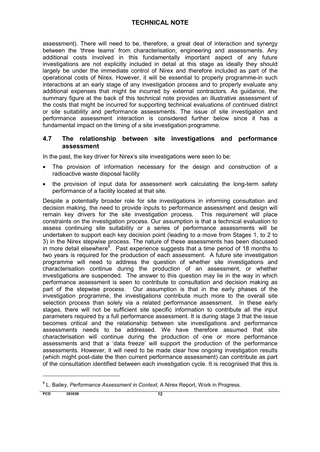<span id="page-17-0"></span>assessment). There will need to be, therefore, a great deal of interaction and synergy between the 'three teams' from characterisation, engineering and assessments. Any additional costs involved in this fundamentally important aspect of any future investigations are not explicitly included in detail at this stage as ideally they should largely be under the immediate control of Nirex and therefore included as part of the operational costs of Nirex. However, it will be essential to properly programme-in such interactions at an early stage of any investigation process and to properly evaluate any additional expenses that might be incurred by external contractors. As guidance, the summary figure at the back of this technical note provides an illustrative assessment of the costs that might be incurred for supporting technical evaluations of continued district or site suitability and performance assessments. The issue of site investigation and performance assessment interaction is considered further below since it has a fundamental impact on the timing of a site investigation programme.

#### **4.7 The relationship between site investigations and performance assessment**

In the past, the key driver for Nirex's site investigations were seen to be:

- The provision of information necessary for the design and construction of a radioactive waste disposal facility
- the provision of input data for assessment work calculating the long-term safety performance of a facility located at that site.

Despite a potentially broader role for site investigations in informing consultation and decision making, the need to provide inputs to performance assessment and design will remain key drivers for the site investigation process. This requirement will place constraints on the investigation process. Our assumption is that a technical evaluation to assess continuing site suitability or a series of performance assessments will be undertaken to support each key decision point (leading to a move from Stages 1, to 2 to 3) in the Nirex stepwise process. The nature of these assessments has been discussed in more detail elsewhere ${}^{8}$ . Past experience suggests that a time period of 18 months to two years is required for the production of each assessment. A future site investigation programme will need to address the question of whether site investigations and characterisation continue during the production of an assessment, or whether investigations are suspended. The answer to this question may lie in the way in which performance assessment is seen to contribute to consultation and decision making as part of the stepwise process. Our assumption is that in the early phases of the investigation programme, the investigations contribute much more to the overall site selection process than solely via a related performance assessment. In these early stages, there will not be sufficient site specific information to contribute all the input parameters required by a full performance assessment. It is during stage 3 that the issue becomes critical and the relationship between site investigations and performance assessments needs to be addressed. We have therefore assumed that site characterisation will continue during the production of one or more performance assessments and that a 'data freeze' will support the production of the performance assessments. However, it will need to be made clear how ongoing investigation results (which might post-date the then current performance assessment) can contribute as part of the consultation identified between each investigation cycle. It is recognised that this is

 $\overline{a}$ 

<sup>8</sup> L. Bailey, *Performance Assessment in Context*, A Nirex Report, Work in Progress.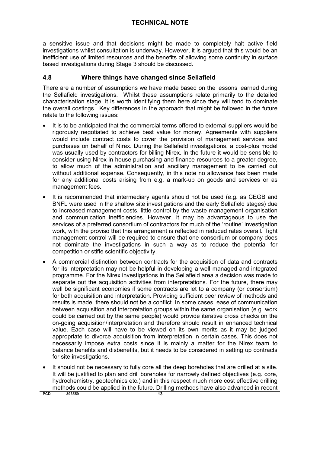<span id="page-18-0"></span>a sensitive issue and that decisions might be made to completely halt active field investigations whilst consultation is underway. However, it is argued that this would be an inefficient use of limited resources and the benefits of allowing some continuity in surface based investigations during Stage 3 should be discussed.

#### **4.8 Where things have changed since Sellafield**

There are a number of assumptions we have made based on the lessons learned during the Sellafield investigations. Whilst these assumptions relate primarily to the detailed characterisation stage, it is worth identifying them here since they will tend to dominate the overall costings. Key differences in the approach that might be followed in the future relate to the following issues:

- It is to be anticipated that the commercial terms offered to external suppliers would be rigorously negotiated to achieve best value for money. Agreements with suppliers would include contract costs to cover the provision of management services and purchases on behalf of Nirex. During the Sellafield investigations, a cost-plus model was usually used by contractors for billing Nirex. In the future it would be sensible to consider using Nirex in-house purchasing and finance resources to a greater degree, to allow much of the administration and ancillary management to be carried out without additional expense. Consequently, in this note no allowance has been made for any additional costs arising from e.g. a mark-up on goods and services or as management fees.
- It is recommended that intermediary agents should not be used (e.g. as CEGB and BNFL were used in the shallow site investigations and the early Sellafield stages) due to increased management costs, little control by the waste management organisation and communication inefficiencies. However, it may be advantageous to use the services of a preferred consortium of contractors for much of the 'routine' investigation work, with the proviso that this arrangement is reflected in reduced rates overall. Tight management control will be required to ensure that one consortium or company does not dominate the investigations in such a way as to reduce the potential for competition or stifle scientific objectivity.
- A commercial distinction between contracts for the acquisition of data and contracts for its interpretation may not be helpful in developing a well managed and integrated programme. For the Nirex investigations in the Sellafield area a decision was made to separate out the acquisition activities from interpretations. For the future, there may well be significant economies if some contracts are let to a company (or consortium) for both acquisition and interpretation. Providing sufficient peer review of methods and results is made, there should not be a conflict. In some cases, ease of communication between acquisition and interpretation groups within the same organisation (e.g. work could be carried out by the same people) would provide iterative cross checks on the on-going acquisition/interpretation and therefore should result in enhanced technical value. Each case will have to be viewed on its own merits as it may be judged appropriate to divorce acquisition from interpretation in certain cases. This does not necessarily impose extra costs since it is mainly a matter for the Nirex team to balance benefits and disbenefits, but it needs to be considered in setting up contracts for site investigations.
- It should not be necessary to fully core all the deep boreholes that are drilled at a site. It will be justified to plan and drill boreholes for narrowly defined objectives (e.g. core, hydrochemistry, geotechnics etc.) and in this respect much more cost effective drilling methods could be applied in the future. Drilling methods have also advanced in recent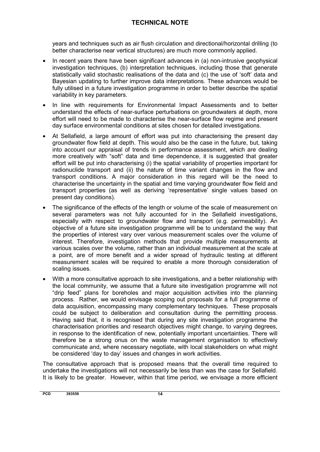years and techniques such as air flush circulation and directional/horizontal drilling (to better characterise near vertical structures) are much more commonly applied.

- In recent years there have been significant advances in (a) non-intrusive geophysical investigation techniques, (b) interpretation techniques, including those that generate statistically valid stochastic realisations of the data and (c) the use of 'soft' data and Bayesian updating to further improve data interpretations. These advances would be fully utilised in a future investigation programme in order to better describe the spatial variability in key parameters.
- In line with requirements for Environmental Impact Assessments and to better understand the effects of near-surface perturbations on groundwaters at depth, more effort will need to be made to characterise the near-surface flow regime and present day surface environmental conditions at sites chosen for detailed investigations.
- At Sellafield, a large amount of effort was put into characterising the present day groundwater flow field at depth. This would also be the case in the future, but, taking into account our appraisal of trends in performance assessment, which are dealing more creatively with "soft" data and time dependence, it is suggested that greater effort will be put into characterising (i) the spatial variability of properties important for radionuclide transport and (ii) the nature of time variant changes in the flow and transport conditions. A major consideration in this regard will be the need to characterise the uncertainty in the spatial and time varying groundwater flow field and transport properties (as well as deriving 'representative' single values based on present day conditions).
- The significance of the effects of the length or volume of the scale of measurement on several parameters was not fully accounted for in the Sellafield investigations, especially with respect to groundwater flow and transport (e.g. permeability). An objective of a future site investigation programme will be to understand the way that the properties of interest vary over various measurement scales over the volume of interest. Therefore, investigation methods that provide multiple measurements at various scales over the volume, rather than an individual measurement at the scale at a point, are of more benefit and a wider spread of hydraulic testing at different measurement scales will be required to enable a more thorough consideration of scaling issues.
- With a more consultative approach to site investigations, and a better relationship with the local community, we assume that a future site investigation programme will not "drip feed" plans for boreholes and major acquisition activities into the planning process. Rather, we would envisage scoping out proposals for a full programme of data acquisition, encompassing many complementary techniques. These proposals could be subject to deliberation and consultation during the permitting process. Having said that, it is recognised that during any site investigation programme the characterisation priorities and research objectives might change, to varying degrees, in response to the identification of new, potentially important uncertainties. There will therefore be a strong onus on the waste management organisation to effectively communicate and, where necessary negotiate, with local stakeholders on what might be considered 'day to day' issues and changes in work activities.

The consultative approach that is proposed means that the overall time required to undertake the investigations will not necessarily be less than was the case for Sellafield. It is likely to be greater. However, within that time period, we envisage a more efficient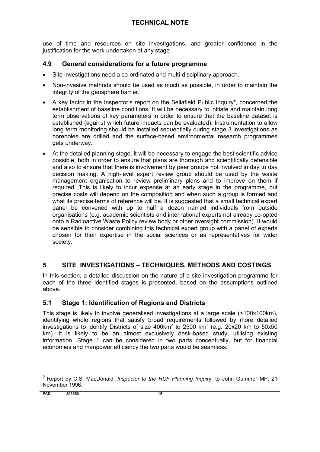<span id="page-20-0"></span>use of time and resources on site investigations, and greater confidence in the justification for the work undertaken at any stage.

## **4.9 General considerations for a future programme**

- Site investigations need a co-ordinated and multi-disciplinary approach.
- Non-invasive methods should be used as much as possible, in order to maintain the integrity of the geosphere barrier.
- A key factor in the Inspector's report on the Sellafield Public Inquiry<sup>9</sup>, concerned the establishment of baseline conditions. It will be necessary to initiate and maintain long term observations of key parameters in order to ensure that the baseline dataset is established (against which future impacts can be evaluated). Instrumentation to allow long term monitoring should be installed sequentially during stage 3 investigations as boreholes are drilled and the surface-based environmental research programmes gets underway.
- At the detailed planning stage, it will be necessary to engage the best scientific advice possible, both in order to ensure that plans are thorough and scientifically defensible and also to ensure that there is involvement by peer groups not involved in day to day decision making. A high-level expert review group should be used by the waste management organisation to review preliminary plans and to improve on them if required. This is likely to incur expense at an early stage in the programme, but precise costs will depend on the composition and when such a group is formed and what its precise terms of reference will be. It is suggested that a small technical expert panel be convened with up to half a dozen named individuals from outside organisations (e.g. academic scientists and international experts not already co-opted onto a Radioactive Waste Policy review body or other oversight commission). It would be sensible to consider combining this technical expert group with a panel of experts chosen for their expertise in the social sciences or as representatives for wider society.

## **5 SITE INVESTIGATIONS – TECHNIQUES, METHODS AND COSTINGS**

In this section, a detailed discussion on the nature of a site investigation programme for each of the three identified stages is presented, based on the assumptions outlined above.

#### **5.1 Stage 1: Identification of Regions and Districts**

This stage is likely to involve generalised investigations at a large scale (>100x100km), identifying whole regions that satisfy broad requirements followed by more detailed investigations to identify Districts of size 400km<sup>2</sup> to 2500 km<sup>2</sup> (e.g. 20x20 km to 50x50 km). It is likely to be an almost exclusively desk-based study, utilising existing information. Stage 1 can be considered in two parts conceptually, but for financial economies and manpower efficiency the two parts would be seamless.

 $\overline{a}$ 

<sup>9</sup> Report by C.S. MacDonald, *Inspector to the RCF Planning Inquir*y, to John Gummer MP, 21 November 1996.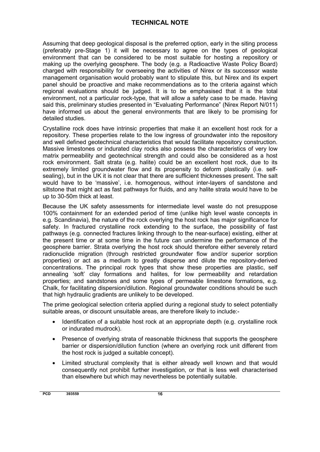Assuming that deep geological disposal is the preferred option, early in the siting process (preferably pre-Stage 1) it will be necessary to agree on the types of geological environment that can be considered to be most suitable for hosting a repository or making up the overlying geosphere. The body (e.g. a Radioactive Waste Policy Board) charged with responsibility for overseeing the activities of Nirex or its successor waste management organisation would probably want to stipulate this, but Nirex and its expert panel should be proactive and make recommendations as to the criteria against which regional evaluations should be judged. It is to be emphasised that it is the total environment, not a particular rock-type, that will allow a safety case to be made. Having said this, preliminary studies presented in "Evaluating Performance" (Nirex Report N/011) have informed us about the general environments that are likely to be promising for detailed studies.

Crystalline rock does have intrinsic properties that make it an excellent host rock for a repository. These properties relate to the low ingress of groundwater into the repository and well defined geotechnical characteristics that would facilitate repository construction. Massive limestones or indurated clay rocks also possess the characteristics of very low matrix permeability and geotechnical strength and could also be considered as a host rock environment. Salt strata (e.g. halite) could be an excellent host rock, due to its extremely limited groundwater flow and its propensity to deform plastically (i.e. selfsealing), but in the UK it is not clear that there are sufficient thicknesses present. The salt would have to be 'massive', i.e. homogenous, without inter-layers of sandstone and siltstone that might act as fast pathways for fluids, and any halite strata would have to be up to 30-50m thick at least.

Because the UK safety assessments for intermediate level waste do not presuppose 100% containment for an extended period of time (unlike high level waste concepts in e.g. Scandinavia), the nature of the rock overlying the host rock has major significance for safety. In fractured crystalline rock extending to the surface, the possibility of fast pathways (e.g. connected fractures linking through to the near-surface) existing, either at the present time or at some time in the future can undermine the performance of the geosphere barrier. Strata overlying the host rock should therefore either severely retard radionuclide migration (through restricted groundwater flow and/or superior sorption properties) or act as a medium to greatly disperse and dilute the repository-derived concentrations. The principal rock types that show these properties are plastic, self annealing 'soft' clay formations and halites, for low permeability and retardation properties; and sandstones and some types of permeable limestone formations, e.g. Chalk, for facilitating dispersion/dilution. Regional groundwater conditions should be such that high hydraulic gradients are unlikely to be developed.

The prime geological selection criteria applied during a regional study to select potentially suitable areas, or discount unsuitable areas, are therefore likely to include:-

- Identification of a suitable host rock at an appropriate depth (e.g. crystalline rock or indurated mudrock).
- Presence of overlying strata of reasonable thickness that supports the geosphere barrier or dispersion/dilution function (where an overlying rock unit different from the host rock is judged a suitable concept).
- Limited structural complexity that is either already well known and that would consequently not prohibit further investigation, or that is less well characterised than elsewhere but which may nevertheless be potentially suitable.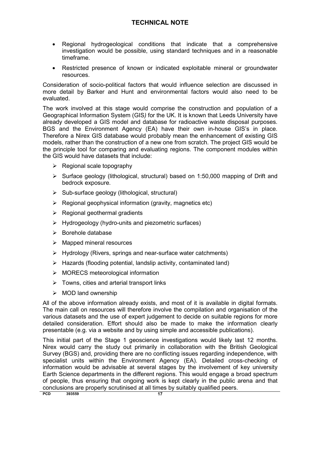- Regional hydrogeological conditions that indicate that a comprehensive investigation would be possible, using standard techniques and in a reasonable timeframe.
- Restricted presence of known or indicated exploitable mineral or groundwater resources.

Consideration of socio-political factors that would influence selection are discussed in more detail by Barker and Hunt and environmental factors would also need to be evaluated.

The work involved at this stage would comprise the construction and population of a Geographical Information System (GIS*)* for the UK. It is known that Leeds University have already developed a GIS model and database for radioactive waste disposal purposes. BGS and the Environment Agency (EA) have their own in-house GIS's in place. Therefore a Nirex GIS database would probably mean the enhancement of existing GIS models, rather than the construction of a new one from scratch. The project GIS would be the principle tool for comparing and evaluating regions. The component modules within the GIS would have datasets that include:

- $\triangleright$  Regional scale topography
- $\triangleright$  Surface geology (lithological, structural) based on 1:50,000 mapping of Drift and bedrock exposure.
- $\triangleright$  Sub-surface geology (lithological, structural)
- $\triangleright$  Regional geophysical information (gravity, magnetics etc)
- $\triangleright$  Regional geothermal gradients
- $\triangleright$  Hydrogeology (hydro-units and piezometric surfaces)
- $\triangleright$  Borehole database
- $\triangleright$  Mapped mineral resources
- $\triangleright$  Hydrology (Rivers, springs and near-surface water catchments)
- $\triangleright$  Hazards (flooding potential, landslip activity, contaminated land)
- $\triangleright$  MORECS meteorological information
- $\triangleright$  Towns, cities and arterial transport links
- $\triangleright$  MOD land ownership

All of the above information already exists, and most of it is available in digital formats. The main call on resources will therefore involve the compilation and organisation of the various datasets and the use of expert judgement to decide on suitable regions for more detailed consideration. Effort should also be made to make the information clearly presentable (e.g. via a website and by using simple and accessible publications).

This initial part of the Stage 1 geoscience investigations would likely last 12 months. Nirex would carry the study out primarily in collaboration with the British Geological Survey (BGS) and, providing there are no conflicting issues regarding independence, with specialist units within the Environment Agency (EA). Detailed cross-checking of information would be advisable at several stages by the involvement of key university Earth Science departments in the different regions. This would engage a broad spectrum of people, thus ensuring that ongoing work is kept clearly in the public arena and that conclusions are properly scrutinised at all times by suitably qualified peers.<br>PCD 393559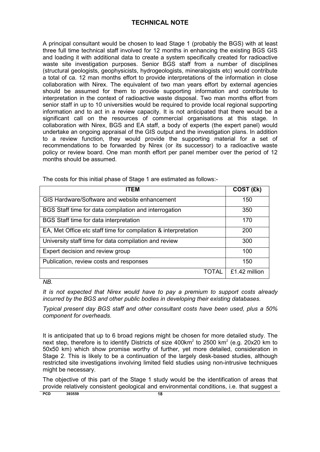A principal consultant would be chosen to lead Stage 1 (probably the BGS) with at least three full time technical staff involved for 12 months in enhancing the existing BGS GIS and loading it with additional data to create a system specifically created for radioactive waste site investigation purposes. Senior BGS staff from a number of disciplines (structural geologists, geophysicists, hydrogeologists, mineralogists etc) would contribute a total of ca. 12 man months effort to provide interpretations of the information in close collaboration with Nirex. The equivalent of two man years effort by external agencies should be assumed for them to provide supporting information and contribute to interpretation in the context of radioactive waste disposal. Two man months effort from senior staff in up to 10 universities would be required to provide local regional supporting information and to act in a review capacity. It is not anticipated that there would be a significant call on the resources of commercial organisations at this stage. In collaboration with Nirex, BGS and EA staff, a body of experts (the expert panel) would undertake an ongoing appraisal of the GIS output and the investigation plans. In addition to a review function, they would provide the supporting material for a set of recommendations to be forwarded by Nirex (or its successor) to a radioactive waste policy or review board. One man month effort per panel member over the period of 12 months should be assumed.

| <b>ITEM</b>                                                    | COST (£k)     |
|----------------------------------------------------------------|---------------|
| GIS Hardware/Software and website enhancement                  | 150           |
| BGS Staff time for data compilation and interrogation          | 350           |
| BGS Staff time for data interpretation                         | 170           |
| EA, Met Office etc staff time for compilation & interpretation | 200           |
| University staff time for data compilation and review          | 300           |
| Expert decision and review group                               | 100           |
| Publication, review costs and responses                        | 150           |
| TOTAL                                                          | £1.42 million |

The costs for this initial phase of Stage 1 are estimated as follows:-

*NB.*

*It is not expected that Nirex would have to pay a premium to support costs already incurred by the BGS and other public bodies in developing their existing databases.*

*Typical present day BGS staff and other consultant costs have been used, plus a 50% component for overheads.*

It is anticipated that up to 6 broad regions might be chosen for more detailed study. The next step, therefore is to identify Districts of size  $400$ km<sup>2</sup> to 2500 km<sup>2</sup> (e.g. 20x20 km to 50x50 km) which show promise worthy of further, yet more detailed, consideration in Stage 2. This is likely to be a continuation of the largely desk-based studies, although restricted site investigations involving limited field studies using non-intrusive techniques might be necessary.

The objective of this part of the Stage 1 study would be the identification of areas that provide relatively consistent geological and environmental conditions, i.e. that suggest a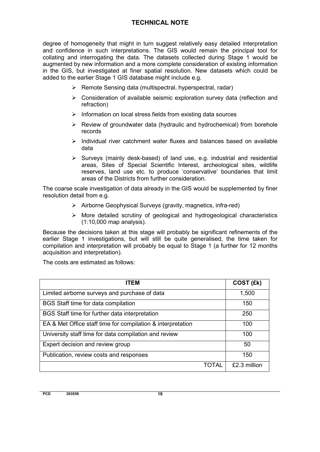degree of homogeneity that might in turn suggest relatively easy detailed interpretation and confidence in such interpretations. The GIS would remain the principal tool for collating and interrogating the data. The datasets collected during Stage 1 would be augmented by new information and a more complete consideration of existing information in the GIS, but investigated at finer spatial resolution. New datasets which could be added to the earlier Stage 1 GIS database might include e.g.

- $\triangleright$  Remote Sensing data (multispectral, hyperspectral, radar)
- $\triangleright$  Consideration of available seismic exploration survey data (reflection and refraction)
- $\triangleright$  Information on local stress fields from existing data sources
- $\triangleright$  Review of groundwater data (hydraulic and hydrochemical) from borehole records
- $\geq$  Individual river catchment water fluxes and balances based on available data
- $\triangleright$  Surveys (mainly desk-based) of land use, e.g. industrial and residential areas, Sites of Special Scientific Interest, archeological sites, wildlife reserves, land use etc. to produce 'conservative' boundaries that limit areas of the Districts from further consideration.

The coarse scale investigation of data already in the GIS would be supplemented by finer resolution detail from e.g.

- $\triangleright$  Airborne Geophysical Surveys (gravity, magnetics, infra-red)
- $\triangleright$  More detailed scrutiny of geological and hydrogeological characteristics (1:10,000 map analysis).

Because the decisions taken at this stage will probably be significant refinements of the earlier Stage 1 investigations, but will still be quite generalised, the time taken for compilation and interpretation will probably be equal to Stage 1 (a further for 12 months acquisition and interpretation).

The costs are estimated as follows:

| <b>ITEM</b>                                                 | COST (£k)    |
|-------------------------------------------------------------|--------------|
| Limited airborne surveys and purchase of data               | 1,500        |
| BGS Staff time for data compilation                         | 150          |
| BGS Staff time for further data interpretation              | 250          |
| EA & Met Office staff time for compilation & interpretation | 100          |
| University staff time for data compilation and review       | 100          |
| Expert decision and review group                            | 50           |
| Publication, review costs and responses                     | 150          |
| TOTAL                                                       | £2.3 million |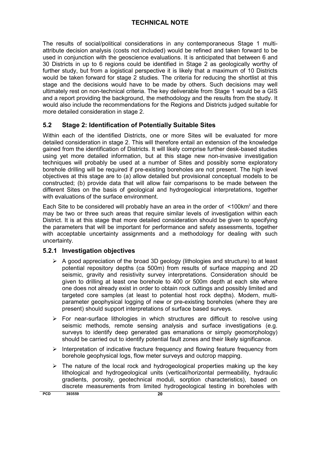<span id="page-25-0"></span>The results of social/political considerations in any contemporaneous Stage 1 multiattribute decision analysis (costs not included) would be refined and taken forward to be used in conjunction with the geoscience evaluations. It is anticipated that between 6 and 30 Districts in up to 6 regions could be identified in Stage 2 as geologically worthy of further study, but from a logistical perspective it is likely that a maximum of 10 Districts would be taken forward for stage 2 studies. The criteria for reducing the shortlist at this stage and the decisions would have to be made by others. Such decisions may well ultimately rest on non-technical criteria. The key deliverable from Stage 1 would be a GIS and a report providing the background, the methodology and the results from the study. It would also include the recommendations for the Regions and Districts judged suitable for more detailed consideration in stage 2.

#### **5.2 Stage 2: Identification of Potentially Suitable Sites**

Within each of the identified Districts, one or more Sites will be evaluated for more detailed consideration in stage 2. This will therefore entail an extension of the knowledge gained from the identification of Districts. It will likely comprise further desk-based studies using yet more detailed information, but at this stage new non-invasive investigation techniques will probably be used at a number of Sites and possibly some exploratory borehole drilling will be required if pre-existing boreholes are not present. The high level objectives at this stage are to (a) allow detailed but provisional conceptual models to be constructed; (b) provide data that will allow fair comparisons to be made between the different Sites on the basis of geological and hydrogeological interpretations, together with evaluations of the surface environment.

Each Site to be considered will probably have an area in the order of  $\leq 100$ km<sup>2</sup> and there may be two or three such areas that require similar levels of investigation within each District. It is at this stage that more detailed consideration should be given to specifying the parameters that will be important for performance and safety assessments, together with acceptable uncertainty assignments and a methodology for dealing with such uncertainty.

#### **5.2.1 Investigation objectives**

- $\triangleright$  A good appreciation of the broad 3D geology (lithologies and structure) to at least potential repository depths (ca 500m) from results of surface mapping and 2D seismic, gravity and resistivity survey interpretations. Consideration should be given to drilling at least one borehole to 400 or 500m depth at each site where one does not already exist in order to obtain rock cuttings and possibly limited and targeted core samples (at least to potential host rock depths). Modern, multiparameter geophysical logging of new or pre-existing boreholes (where they are present) should support interpretations of surface based surveys.
- $\triangleright$  For near-surface lithologies in which structures are difficult to resolve using seismic methods, remote sensing analysis and surface investigations (e.g. surveys to identify deep generated gas emanations or simply geomorphology) should be carried out to identify potential fault zones and their likely significance.
- $\triangleright$  Interpretation of indicative fracture frequency and flowing feature frequency from borehole geophysical logs, flow meter surveys and outcrop mapping.
- $\triangleright$  The nature of the local rock and hydrogeological properties making up the key lithological and hydrogeological units (vertical/horizontal permeability, hydraulic gradients, porosity, geotechnical moduli, sorption characteristics), based on discrete measurements from limited hydrogeological testing in boreholes with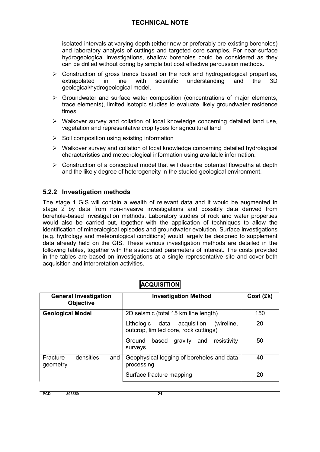<span id="page-26-0"></span>isolated intervals at varying depth (either new or preferably pre-existing boreholes) and laboratory analysis of cuttings and targeted core samples. For near-surface hydrogeological investigations, shallow boreholes could be considered as they can be drilled without coring by simple but cost effective percussion methods.

- $\triangleright$  Construction of gross trends based on the rock and hydrogeological properties, extrapolated in line with scientific understanding and the 3D geological/hydrogeological model.
- $\triangleright$  Groundwater and surface water composition (concentrations of major elements, trace elements), limited isotopic studies to evaluate likely groundwater residence times.
- $\triangleright$  Walkover survey and collation of local knowledge concerning detailed land use, vegetation and representative crop types for agricultural land
- $\triangleright$  Soil composition using existing information
- ¾ Walkover survey and collation of local knowledge concerning detailed hydrological characteristics and meteorological information using available information.
- $\triangleright$  Construction of a conceptual model that will describe potential flowpaths at depth and the likely degree of heterogeneity in the studied geological environment.

#### **5.2.2 Investigation methods**

The stage 1 GIS will contain a wealth of relevant data and it would be augmented in stage 2 by data from non-invasive investigations and possibly data derived from borehole-based investigation methods. Laboratory studies of rock and water properties would also be carried out, together with the application of techniques to allow the identification of mineralogical episodes and groundwater evolution. Surface investigations (e.g. hydrology and meteorological conditions) would largely be designed to supplement data already held on the GIS. These various investigation methods are detailed in the following tables, together with the associated parameters of interest. The costs provided in the tables are based on investigations at a single representative site and cover both acquisition and interpretation activities.

| <b>General Investigation</b><br><b>Objective</b> | <b>Investigation Method</b>                                                              | Cost (£k) |
|--------------------------------------------------|------------------------------------------------------------------------------------------|-----------|
| <b>Geological Model</b>                          | 2D seismic (total 15 km line length)                                                     | 150       |
|                                                  | (wireline,<br>Lithologic<br>data<br>acquisition<br>outcrop, limited core, rock cuttings) | 20        |
|                                                  | resistivity<br>gravity<br>Ground<br>based<br>and<br>surveys                              | 50        |
| densities<br>Fracture<br>and<br>geometry         | Geophysical logging of boreholes and data<br>processing                                  | 40        |
|                                                  | Surface fracture mapping                                                                 | 20        |

#### **ACQUISITION**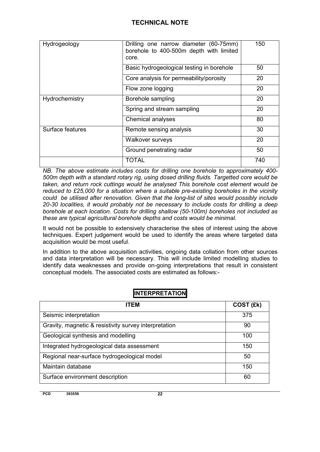| Hydrogeology     | Drilling one narrow diameter (60-75mm)<br>borehole to 400-500m depth with limited<br>core. | 150 |
|------------------|--------------------------------------------------------------------------------------------|-----|
|                  | Basic hydrogeological testing in borehole                                                  | 50  |
|                  | Core analysis for permeability/porosity                                                    | 20  |
|                  | Flow zone logging                                                                          | 20  |
| Hydrochemistry   | Borehole sampling                                                                          | 20  |
|                  | Spring and stream sampling                                                                 | 20  |
|                  | Chemical analyses                                                                          | 80  |
| Surface features | Remote sensing analysis                                                                    | 30  |
|                  | Walkover surveys                                                                           | 20  |
|                  | Ground penetrating radar                                                                   | 50  |
|                  | <b>TOTAL</b>                                                                               | 740 |

*NB. The above estimate includes costs for drilling one borehole to approximately 400- 500m depth with a standard rotary rig, using dosed drilling fluids. Targetted core would be taken, and return rock cuttings would be analysed This borehole cost element would be reduced to £25,000 for a situation where a suitable pre-existing boreholes in the vicinity could be utilised after renovation. Given that the long-list of sites would possibly include 20-30 localities, it would probably not be necessary to include costs for drilling a deep borehole at each location. Costs for drilling shallow (50-100m) boreholes not included as these are typical agricultural borehole depths and costs would be minimal.*

It would not be possible to extensively characterise the sites of interest using the above techniques. Expert judgement would be used to identify the areas where targeted data acquisition would be most useful.

In addition to the above acquisition activities, ongoing data collation from other sources and data interpretation will be necessary. This will include limited modelling studies to identify data weaknesses and provide on-going interpretations that result in consistent conceptual models. The associated costs are estimated as follows:-

| <b>ITEM</b>                                           | COST (£k) |
|-------------------------------------------------------|-----------|
| Seismic interpretation                                | 375       |
| Gravity, magnetic & resistivity survey interpretation | 90        |
| Geological synthesis and modelling                    | 100       |
| Integrated hydrogeological data assessment            | 150       |
| Regional near-surface hydrogeological model           | 50        |
| Maintain database                                     | 150       |
| Surface environment description                       | 60        |

## **INTERPRETATION**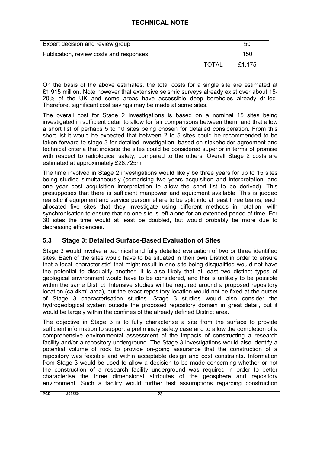<span id="page-28-0"></span>

| Expert decision and review group        | 50     |
|-----------------------------------------|--------|
| Publication, review costs and responses | 150    |
| TOTAL                                   | £1.175 |

On the basis of the above estimates, the total costs for a single site are estimated at £1.915 million. Note however that extensive seismic surveys already exist over about 15- 20% of the UK and some areas have accessible deep boreholes already drilled. Therefore, significant cost savings may be made at some sites.

The overall cost for Stage 2 investigations is based on a nominal 15 sites being investigated in sufficient detail to allow for fair comparisons between them, and that allow a short list of perhaps 5 to 10 sites being chosen for detailed consideration. From this short list it would be expected that between 2 to 5 sites could be recommended to be taken forward to stage 3 for detailed investigation, based on stakeholder agreement and technical criteria that indicate the sites could be considered superior in terms of promise with respect to radiological safety, compared to the others. Overall Stage 2 costs are estimated at approximately £28.725m

The time involved in Stage 2 investigations would likely be three years for up to 15 sites being studied simultaneously (comprising two years acquisition and interpretation, and one year post acquisition interpretation to allow the short list to be derived). This presupposes that there is sufficient manpower and equipment available. This is judged realistic if equipment and service personnel are to be split into at least three teams, each allocated five sites that they investigate using different methods in rotation, with synchronisation to ensure that no one site is left alone for an extended period of time. For 30 sites the time would at least be doubled, but would probably be more due to decreasing efficiencies.

## **5.3 Stage 3: Detailed Surface-Based Evaluation of Sites**

Stage 3 would involve a technical and fully detailed evaluation of two or three identified sites. Each of the sites would have to be situated in their own District in order to ensure that a local 'characteristic' that might result in one site being disqualified would not have the potential to disqualify another. It is also likely that at least two distinct types of geological environment would have to be considered, and this is unlikely to be possible within the same District. Intensive studies will be required around a proposed repository location (ca 4km<sup>2</sup> area), but the exact repository location would not be fixed at the outset of Stage 3 characterisation studies. Stage 3 studies would also consider the hydrogeological system outside the proposed repository domain in great detail, but it would be largely within the confines of the already defined District area.

The objective in Stage 3 is to fully characterise a site from the surface to provide sufficient information to support a preliminary safety case and to allow the completion of a comprehensive environmental assessment of the impacts of constructing a research facility and/or a repository underground. The Stage 3 investigations would also identify a potential volume of rock to provide on-going assurance that the construction of a repository was feasible and within acceptable design and cost constraints. Information from Stage 3 would be used to allow a decision to be made concerning whether or not the construction of a research facility underground was required in order to better characterise the three dimensional attributes of the geosphere and repository environment. Such a facility would further test assumptions regarding construction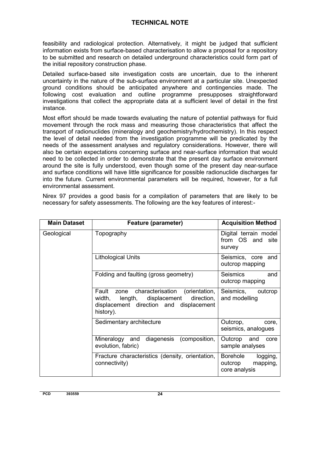feasibility and radiological protection. Alternatively, it might be judged that sufficient information exists from surface-based characterisation to allow a proposal for a repository to be submitted and research on detailed underground characteristics could form part of the initial repository construction phase.

Detailed surface-based site investigation costs are uncertain, due to the inherent uncertainty in the nature of the sub-surface environment at a particular site. Unexpected ground conditions should be anticipated anywhere and contingencies made. The following cost evaluation and outline programme presupposes straightforward investigations that collect the appropriate data at a sufficient level of detail in the first instance.

Most effort should be made towards evaluating the nature of potential pathways for fluid movement through the rock mass and measuring those characteristics that affect the transport of radionuclides (mineralogy and geochemistry/hydrochemistry). In this respect the level of detail needed from the investigation programme will be predicated by the needs of the assessment analyses and regulatory considerations. However, there will also be certain expectations concerning surface and near-surface information that would need to be collected in order to demonstrate that the present day surface environment around the site is fully understood, even though some of the present day near-surface and surface conditions will have little significance for possible radionuclide discharges far into the future. Current environmental parameters will be required, however, for a full environmental assessment.

Nirex 97 provides a good basis for a compilation of parameters that are likely to be necessary for safety assessments. The following are the key features of interest:-

| <b>Main Dataset</b> | Feature (parameter)                                                                                                                                        | <b>Acquisition Method</b>                                    |
|---------------------|------------------------------------------------------------------------------------------------------------------------------------------------------------|--------------------------------------------------------------|
| Geological          | Topography                                                                                                                                                 | Digital terrain model<br>from OS and site<br>survey          |
|                     | <b>Lithological Units</b>                                                                                                                                  | Seismics, core and<br>outcrop mapping                        |
|                     | Folding and faulting (gross geometry)                                                                                                                      | Seismics<br>and<br>outcrop mapping                           |
|                     | Fault<br>characterisation<br>(orientation,<br>zone<br>direction,<br>length, displacement<br>width,<br>displacement direction and displacement<br>history). | Seismics, outcrop<br>and modelling                           |
|                     | Sedimentary architecture                                                                                                                                   | Outcrop,<br>core,<br>seismics, analogues                     |
|                     | Mineralogy and<br>diagenesis (composition,<br>evolution, fabric)                                                                                           | Outcrop and<br>core<br>sample analyses                       |
|                     | Fracture characteristics (density, orientation,<br>connectivity)                                                                                           | Borehole<br>logging,<br>outcrop<br>mapping,<br>core analysis |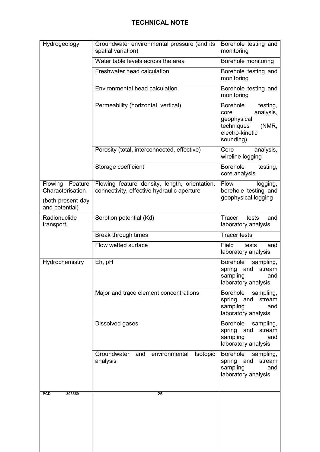| Hydrogeology                                                                  | Groundwater environmental pressure (and its<br>spatial variation)                           | Borehole testing and<br>monitoring                                                                                     |
|-------------------------------------------------------------------------------|---------------------------------------------------------------------------------------------|------------------------------------------------------------------------------------------------------------------------|
|                                                                               | Water table levels across the area                                                          | Borehole monitoring                                                                                                    |
|                                                                               | Freshwater head calculation                                                                 | Borehole testing and<br>monitoring                                                                                     |
|                                                                               | Environmental head calculation                                                              | Borehole testing and<br>monitoring                                                                                     |
|                                                                               | Permeability (horizontal, vertical)                                                         | <b>Borehole</b><br>testing,<br>analysis,<br>core<br>geophysical<br>techniques<br>(NMR,<br>electro-kinetic<br>sounding) |
|                                                                               | Porosity (total, interconnected, effective)                                                 | Core<br>analysis,<br>wireline logging                                                                                  |
|                                                                               | Storage coefficient                                                                         | <b>Borehole</b><br>testing,<br>core analysis                                                                           |
| Feature<br>Flowing<br>Characterisation<br>(both present day<br>and potential) | Flowing feature density, length, orientation,<br>connectivity, effective hydraulic aperture | Flow<br>logging,<br>borehole testing and<br>geophysical logging                                                        |
| Radionuclide<br>transport                                                     | Sorption potential (Kd)                                                                     | Tracer<br>tests<br>and<br>laboratory analysis                                                                          |
|                                                                               | Break through times                                                                         | <b>Tracer tests</b>                                                                                                    |
|                                                                               | Flow wetted surface                                                                         | Field<br>tests<br>and<br>laboratory analysis                                                                           |
| Hydrochemistry                                                                | Eh, pH                                                                                      | <b>Borehole</b><br>sampling,<br>spring<br>stream<br>and<br>sampling<br>and<br>laboratory analysis                      |
|                                                                               | Major and trace element concentrations                                                      | <b>Borehole</b><br>sampling,<br>spring and<br>stream<br>sampling<br>and<br>laboratory analysis                         |
|                                                                               | Dissolved gases                                                                             | <b>Borehole</b><br>sampling,<br>spring and<br>stream<br>sampling<br>and<br>laboratory analysis                         |
|                                                                               | Groundwater<br>and<br>environmental<br><b>Isotopic</b><br>analysis                          | <b>Borehole</b><br>sampling,<br>stream<br>spring and<br>sampling<br>and<br>laboratory analysis                         |
| <b>PCD</b><br>393559                                                          | 25                                                                                          |                                                                                                                        |
|                                                                               |                                                                                             |                                                                                                                        |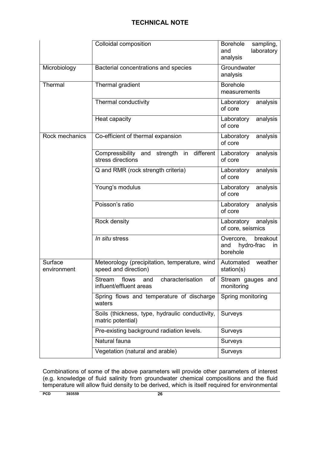|                        | Colloidal composition                                                 | <b>Borehole</b><br>sampling,<br>laboratory<br>and<br>analysis |  |
|------------------------|-----------------------------------------------------------------------|---------------------------------------------------------------|--|
| Microbiology           | Bacterial concentrations and species                                  | Groundwater<br>analysis                                       |  |
| Thermal                | Thermal gradient                                                      | <b>Borehole</b><br>measurements                               |  |
|                        | Thermal conductivity                                                  | Laboratory<br>analysis<br>of core                             |  |
|                        | Heat capacity                                                         | analysis<br>Laboratory<br>of core                             |  |
| Rock mechanics         | Co-efficient of thermal expansion                                     | Laboratory<br>analysis<br>of core                             |  |
|                        | in different<br>Compressibility and strength<br>stress directions     | Laboratory<br>analysis<br>of core                             |  |
|                        | Q and RMR (rock strength criteria)                                    | analysis<br>Laboratory<br>of core                             |  |
|                        | Young's modulus                                                       | Laboratory<br>analysis<br>of core                             |  |
|                        | Poisson's ratio                                                       | Laboratory<br>analysis<br>of core                             |  |
|                        | Rock density                                                          | Laboratory analysis<br>of core, seismics                      |  |
|                        | In situ stress                                                        | breakout<br>Overcore,<br>hydro-frac<br>and<br>in.<br>borehole |  |
| Surface<br>environment | Meteorology (precipitation, temperature, wind<br>speed and direction) | weather<br>Automated<br>station(s)                            |  |
|                        | Stream flows and characterisation of<br>influent/effluent areas       | Stream gauges and<br>monitoring                               |  |
|                        | Spring flows and temperature of discharge<br>waters                   | Spring monitoring                                             |  |
|                        | Soils (thickness, type, hydraulic conductivity,<br>matric potential)  | Surveys                                                       |  |
|                        | Pre-existing background radiation levels.                             | Surveys                                                       |  |
|                        | Natural fauna                                                         | Surveys                                                       |  |
|                        | Vegetation (natural and arable)                                       | Surveys                                                       |  |

Combinations of some of the above parameters will provide other parameters of interest (e.g. knowledge of fluid salinity from groundwater chemical compositions and the fluid temperature will allow fluid density to be derived, which is itself required for environmental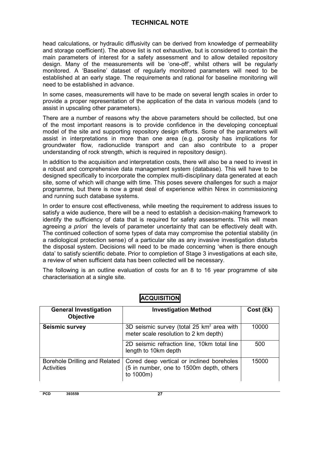head calculations, or hydraulic diffusivity can be derived from knowledge of permeability and storage coefficient). The above list is not exhaustive, but is considered to contain the main parameters of interest for a safety assessment and to allow detailed repository design. Many of the measurements will be 'one-off', whilst others will be regularly monitored. A 'Baseline' dataset of regularly monitored parameters will need to be established at an early stage. The requirements and rational for baseline monitoring will need to be established in advance.

In some cases, measurements will have to be made on several length scales in order to provide a proper representation of the application of the data in various models (and to assist in upscaling other parameters).

There are a number of reasons why the above parameters should be collected, but one of the most important reasons is to provide confidence in the developing conceptual model of the site and supporting repository design efforts. Some of the parameters will assist in interpretations in more than one area (e.g. porosity has implications for groundwater flow, radionuclide transport and can also contribute to a proper understanding of rock strength, which is required in repository design).

In addition to the acquisition and interpretation costs, there will also be a need to invest in a robust and comprehensive data management system (database). This will have to be designed specifically to incorporate the complex multi-disciplinary data generated at each site, some of which will change with time. This poses severe challenges for such a major programme, but there is now a great deal of experience within Nirex in commissioning and running such database systems.

In order to ensure cost effectiveness, while meeting the requirement to address issues to satisfy a wide audience, there will be a need to establish a decision-making framework to identify the sufficiency of data that is required for safety assessments. This will mean agreeing *a priori* the levels of parameter uncertainty that can be effectively dealt with. The continued collection of some types of data may compromise the potential stability (in a radiological protection sense) of a particular site as any invasive investigation disturbs the disposal system. Decisions will need to be made concerning 'when is there enough data' to satisfy scientific debate. Prior to completion of Stage 3 investigations at each site, a review of when sufficient data has been collected will be necessary.

The following is an outline evaluation of costs for an 8 to 16 year programme of site characterisation at a single site.

| <b>General Investigation</b><br><b>Objective</b>   | <b>Investigation Method</b>                                                                        | $Cost$ (£k) |
|----------------------------------------------------|----------------------------------------------------------------------------------------------------|-------------|
| <b>Seismic survey</b>                              | 3D seismic survey (total 25 $km2$ area with<br>meter scale resolution to 2 km depth)               | 10000       |
|                                                    | 2D seismic refraction line, 10km total line<br>length to 10km depth                                | 500         |
| Borehole Drilling and Related<br><b>Activities</b> | Cored deep vertical or inclined boreholes<br>(5 in number, one to 1500m depth, others<br>to 1000m) | 15000       |

## **ACQUISITION**

**PCD 393559 27**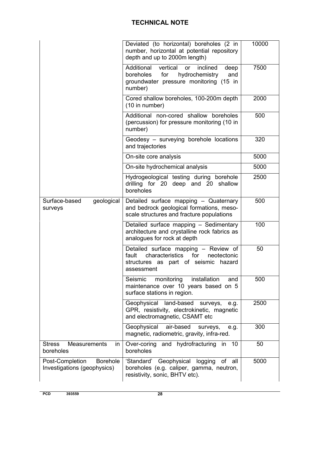|                                                                   | Deviated (to horizontal) boreholes (2 in<br>number, horizontal at potential repository<br>depth and up to 2000m length)                                   | 10000 |
|-------------------------------------------------------------------|-----------------------------------------------------------------------------------------------------------------------------------------------------------|-------|
|                                                                   | vertical<br>Additional<br>inclined<br>deep<br><b>or</b><br>boreholes<br>hydrochemistry<br>for<br>and<br>groundwater pressure monitoring (15 in<br>number) | 7500  |
|                                                                   | Cored shallow boreholes, 100-200m depth<br>(10 in number)                                                                                                 | 2000  |
|                                                                   | Additional non-cored shallow boreholes<br>(percussion) for pressure monitoring (10 in<br>number)                                                          | 500   |
|                                                                   | Geodesy - surveying borehole locations<br>and trajectories                                                                                                | 320   |
|                                                                   | On-site core analysis                                                                                                                                     | 5000  |
|                                                                   | On-site hydrochemical analysis                                                                                                                            | 5000  |
|                                                                   | Hydrogeological testing during borehole<br>drilling for 20 deep and 20 shallow<br>boreholes                                                               | 2500  |
| Surface-based<br>geological<br>surveys                            | Detailed surface mapping - Quaternary<br>and bedrock geological formations, meso-<br>scale structures and fracture populations                            | 500   |
|                                                                   | Detailed surface mapping - Sedimentary<br>architecture and crystalline rock fabrics as<br>analogues for rock at depth                                     | 100   |
|                                                                   | Detailed surface mapping - Review of<br>fault<br>characteristics<br>for<br>neotectonic<br>structures as part of seismic hazard<br>assessment              | 50    |
|                                                                   | Seismic monitoring installation<br>and<br>maintenance over 10 years based on 5<br>surface stations in region.                                             | 500   |
|                                                                   | Geophysical land-based surveys,<br>e.g.<br>GPR, resistivity, electrokinetic, magnetic<br>and electromagnetic, CSAMT etc                                   | 2500  |
|                                                                   | Geophysical<br>air-based<br>surveys,<br>e.g.<br>magnetic, radiometric, gravity, infra-red.                                                                | 300   |
| <b>Stress</b><br><b>Measurements</b><br>in<br>boreholes           | Over-coring and hydrofracturing in<br>- 10<br>boreholes                                                                                                   | 50    |
| Post-Completion<br><b>Borehole</b><br>Investigations (geophysics) | Geophysical logging<br>'Standard'<br>of<br>all<br>boreholes (e.g. caliper, gamma, neutron,<br>resistivity, sonic, BHTV etc).                              | 5000  |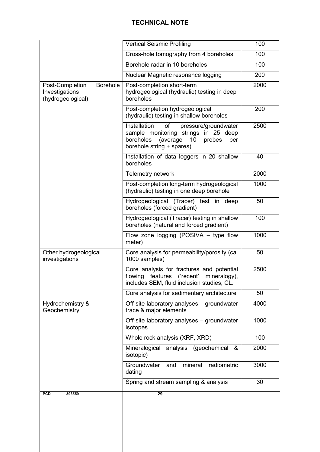|                                                                           | <b>Vertical Seismic Profiling</b>                                                                                                                                | 100  |
|---------------------------------------------------------------------------|------------------------------------------------------------------------------------------------------------------------------------------------------------------|------|
|                                                                           | Cross-hole tomography from 4 boreholes                                                                                                                           | 100  |
|                                                                           | Borehole radar in 10 boreholes                                                                                                                                   | 100  |
|                                                                           | Nuclear Magnetic resonance logging                                                                                                                               | 200  |
| <b>Borehole</b><br>Post-Completion<br>Investigations<br>(hydrogeological) | Post-completion short-term<br>hydrogeological (hydraulic) testing in deep<br>boreholes                                                                           | 2000 |
|                                                                           | Post-completion hydrogeological<br>(hydraulic) testing in shallow boreholes                                                                                      | 200  |
|                                                                           | Installation<br>of<br>pressure/groundwater<br>sample monitoring strings in 25 deep<br>boreholes<br>(average)<br>10<br>probes<br>per<br>borehole string + spares) | 2500 |
|                                                                           | Installation of data loggers in 20 shallow<br>boreholes                                                                                                          | 40   |
|                                                                           | Telemetry network                                                                                                                                                | 2000 |
|                                                                           | Post-completion long-term hydrogeological<br>(hydraulic) testing in one deep borehole                                                                            | 1000 |
|                                                                           | Hydrogeological (Tracer) test in deep<br>boreholes (forced gradient)                                                                                             | 50   |
|                                                                           | Hydrogeological (Tracer) testing in shallow<br>boreholes (natural and forced gradient)                                                                           | 100  |
|                                                                           | Flow zone logging (POSIVA - type flow<br>meter)                                                                                                                  | 1000 |
| Other hydrogeological<br>investigations                                   | Core analysis for permeability/porosity (ca.<br>1000 samples)                                                                                                    | 50   |
|                                                                           | Core analysis for fractures and potential<br>flowing<br>features ('recent'<br>mineralogy),<br>includes SEM, fluid inclusion studies, CL.                         | 2500 |
|                                                                           | Core analysis for sedimentary architecture                                                                                                                       | 50   |
| Hydrochemistry &<br>Geochemistry                                          | Off-site laboratory analyses - groundwater<br>trace & major elements                                                                                             | 4000 |
|                                                                           | Off-site laboratory analyses - groundwater<br>isotopes                                                                                                           | 1000 |
|                                                                           | Whole rock analysis (XRF, XRD)                                                                                                                                   | 100  |
|                                                                           | Mineralogical<br>analysis (geochemical<br>&<br>isotopic)                                                                                                         | 2000 |
|                                                                           | Groundwater<br>mineral<br>radiometric<br>and<br>dating                                                                                                           | 3000 |
|                                                                           | Spring and stream sampling & analysis                                                                                                                            | 30   |
| <b>PCD</b><br>393559                                                      | $\overline{29}$                                                                                                                                                  |      |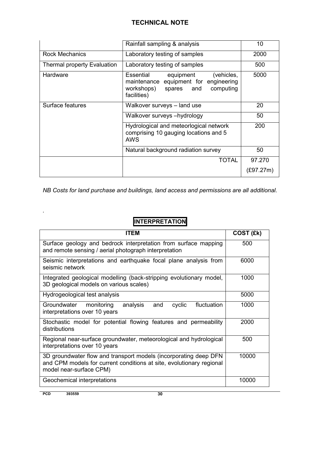|                             | Rainfall sampling & analysis                                                                                                          | 10        |
|-----------------------------|---------------------------------------------------------------------------------------------------------------------------------------|-----------|
| <b>Rock Mechanics</b>       | Laboratory testing of samples                                                                                                         | 2000      |
| Thermal property Evaluation | Laboratory testing of samples                                                                                                         | 500       |
| Hardware                    | Essential<br>equipment<br>(vehicles,<br>maintenance equipment for engineering<br>computing<br>workshops)<br>spares and<br>facilities) | 5000      |
| Surface features            | Walkover surveys - land use                                                                                                           | 20        |
|                             | Walkover surveys -hydrology                                                                                                           | 50        |
|                             | Hydrological and meteorlogical network<br>comprising 10 gauging locations and 5<br>AWS                                                | 200       |
|                             | Natural background radiation survey                                                                                                   | 50        |
|                             | <b>TOTAL</b>                                                                                                                          | 97.270    |
|                             |                                                                                                                                       | (£97.27m) |

*NB Costs for land purchase and buildings, land access and permissions are all additional.*

# **INTERPRETATION**

| <b>ITEM</b>                                                                                                                                                         | COST (£k) |
|---------------------------------------------------------------------------------------------------------------------------------------------------------------------|-----------|
| Surface geology and bedrock interpretation from surface mapping<br>and remote sensing / aerial photograph interpretation                                            | 500       |
| Seismic interpretations and earthquake focal plane analysis from<br>seismic network                                                                                 | 6000      |
| Integrated geological modelling (back-stripping evolutionary model,<br>3D geological models on various scales)                                                      | 1000      |
| Hydrogeological test analysis                                                                                                                                       | 5000      |
| fluctuation<br>Groundwater monitoring<br>analysis<br>and<br>cyclic<br>interpretations over 10 years                                                                 | 1000      |
| Stochastic model for potential flowing features and permeability<br>distributions                                                                                   | 2000      |
| Regional near-surface groundwater, meteorological and hydrological<br>interpretations over 10 years                                                                 | 500       |
| 3D groundwater flow and transport models (incorporating deep DFN<br>and CPM models for current conditions at site, evolutionary regional<br>model near-surface CPM) | 10000     |
| Geochemical interpretations                                                                                                                                         | 10000     |

*.*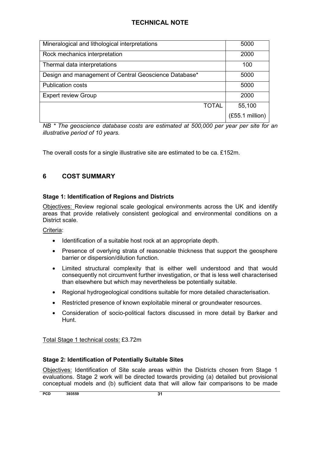<span id="page-36-0"></span>

| Mineralogical and lithological interpretations        |              | 5000            |
|-------------------------------------------------------|--------------|-----------------|
| Rock mechanics interpretation                         |              | 2000            |
| Thermal data interpretations                          |              | 100             |
| Design and management of Central Geoscience Database* |              | 5000            |
| <b>Publication costs</b>                              |              | 5000            |
| <b>Expert review Group</b>                            |              | 2000            |
|                                                       | <b>TOTAL</b> | 55,100          |
|                                                       |              | (£55.1 million) |

*NB \* The geoscience database costs are estimated at 500,000 per year per site for an illustrative period of 10 years.*

The overall costs for a single illustrative site are estimated to be ca. £152m.

## **6 COST SUMMARY**

#### **Stage 1: Identification of Regions and Districts**

Objectives: Review regional scale geological environments across the UK and identify areas that provide relatively consistent geological and environmental conditions on a District scale.

#### Criteria:

- Identification of a suitable host rock at an appropriate depth.
- Presence of overlying strata of reasonable thickness that support the geosphere barrier or dispersion/dilution function.
- Limited structural complexity that is either well understood and that would consequently not circumvent further investigation, or that is less well characterised than elsewhere but which may nevertheless be potentially suitable.
- Regional hydrogeological conditions suitable for more detailed characterisation.
- Restricted presence of known exploitable mineral or groundwater resources.
- Consideration of socio-political factors discussed in more detail by Barker and Hunt.

Total Stage 1 technical costs: £3.72m

#### **Stage 2: Identification of Potentially Suitable Sites**

Objectives: Identification of Site scale areas within the Districts chosen from Stage 1 evaluations. Stage 2 work will be directed towards providing (a) detailed but provisional conceptual models and (b) sufficient data that will allow fair comparisons to be made

**PCD 393559 31**